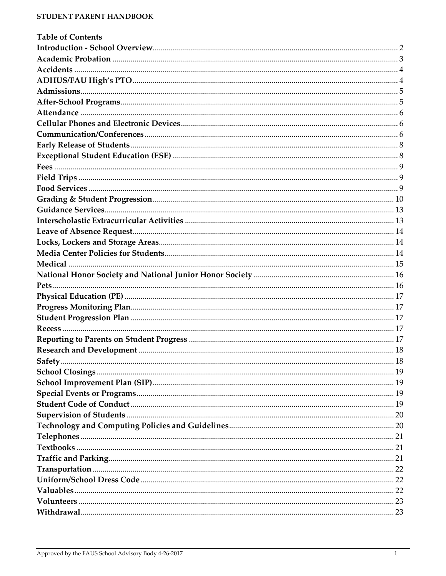| <b>Table of Contents</b> |  |
|--------------------------|--|
|                          |  |
|                          |  |
|                          |  |
|                          |  |
|                          |  |
|                          |  |
|                          |  |
|                          |  |
|                          |  |
|                          |  |
|                          |  |
|                          |  |
|                          |  |
|                          |  |
|                          |  |
|                          |  |
|                          |  |
|                          |  |
|                          |  |
|                          |  |
|                          |  |
|                          |  |
|                          |  |
|                          |  |
|                          |  |
|                          |  |
|                          |  |
|                          |  |
|                          |  |
|                          |  |
|                          |  |
|                          |  |
|                          |  |
|                          |  |
|                          |  |
|                          |  |
|                          |  |
|                          |  |
|                          |  |
|                          |  |
|                          |  |
|                          |  |
|                          |  |
|                          |  |
|                          |  |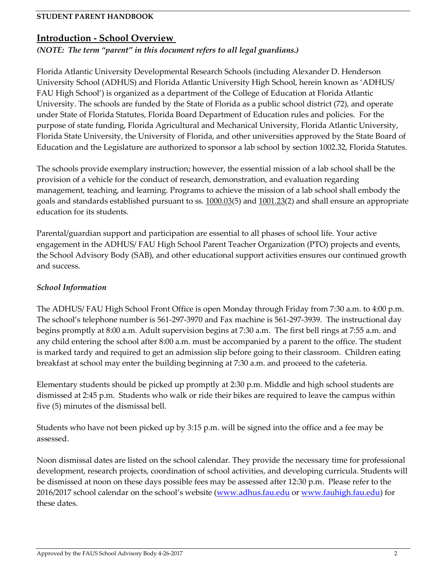### <span id="page-1-0"></span>**Introduction - School Overview**

*(NOTE: The term "parent" in this document refers to all legal guardians.)*

Florida Atlantic University Developmental Research Schools (including Alexander D. Henderson University School (ADHUS) and Florida Atlantic University High School, herein known as 'ADHUS/ FAU High School') is organized as a department of the College of Education at Florida Atlantic University. The schools are funded by the State of Florida as a public school district (72), and operate under State of Florida Statutes, Florida Board Department of Education rules and policies. For the purpose of state funding, Florida Agricultural and Mechanical University, Florida Atlantic University, Florida State University, the University of Florida, and other universities approved by the State Board of Education and the Legislature are authorized to sponsor a lab school by section 1002.32, Florida Statutes.

The schools provide exemplary instruction; however, the essential mission of a lab school shall be the provision of a vehicle for the conduct of research, demonstration, and evaluation regarding management, teaching, and learning. Programs to achieve the mission of a lab school shall embody the goals and standards established pursuant to ss. [1000.03\(](http://www.leg.state.fl.us/Statutes/index.cfm?App_mode=Display_Statute&Search_String=&URL=1000-1099/1000/Sections/1000.03.html)5) and [1001.23\(](http://www.leg.state.fl.us/Statutes/index.cfm?App_mode=Display_Statute&Search_String=&URL=1000-1099/1001/Sections/1001.23.html)2) and shall ensure an appropriate education for its students.

Parental/guardian support and participation are essential to all phases of school life. Your active engagement in the ADHUS/ FAU High School Parent Teacher Organization (PTO) projects and events, the School Advisory Body (SAB), and other educational support activities ensures our continued growth and success.

### *School Information*

The ADHUS/ FAU High School Front Office is open Monday through Friday from 7:30 a.m. to 4:00 p.m. The school's telephone number is 561-297-3970 and Fax machine is 561-297-3939. The instructional day begins promptly at 8:00 a.m*.* Adult supervision begins at 7:30 a.m. The first bell rings at 7:55 a.m. and any child entering the school after 8:00 a.m. must be accompanied by a parent to the office. The student is marked tardy and required to get an admission slip before going to their classroom. Children eating breakfast at school may enter the building beginning at 7:30 a.m. and proceed to the cafeteria.

Elementary students should be picked up promptly at 2:30 p.m. Middle and high school students are dismissed at 2:45 p.m. Students who walk or ride their bikes are required to leave the campus within five (5) minutes of the dismissal bell.

Students who have not been picked up by 3:15 p.m. will be signed into the office and a fee may be assessed.

<span id="page-1-1"></span>Noon dismissal dates are listed on the school calendar. They provide the necessary time for professional development, research projects, coordination of school activities, and developing curricula. Students will be dismissed at noon on these days possible fees may be assessed after 12:30 p.m. Please refer to the 2016/2017 school calendar on the school's website (www.adhus.fau.edu or [www.fauhigh.fau.edu\)](http://www.fauhigh.fau.edu/) for these dates.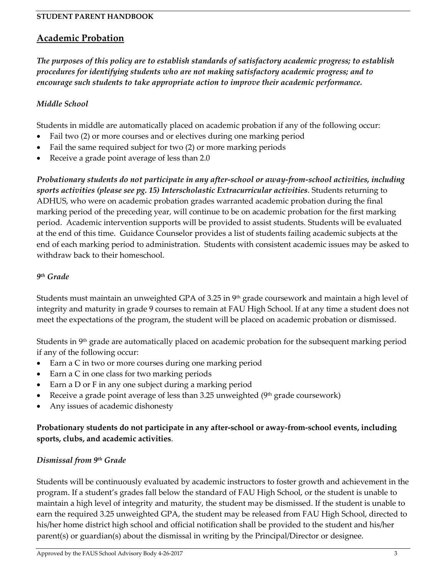# **Academic Probation**

*The purposes of this policy are to establish standards of satisfactory academic progress; to establish procedures for identifying students who are not making satisfactory academic progress; and to encourage such students to take appropriate action to improve their academic performance.*

### *Middle School*

Students in middle are automatically placed on academic probation if any of the following occur:

- Fail two (2) or more courses and or electives during one marking period
- Fail the same required subject for two (2) or more marking periods
- Receive a grade point average of less than 2.0

*Probationary students do not participate in any after-school or away-from-school activities, including sports activities (please see pg. 15) Interscholastic Extracurricular activities*. Students returning to ADHUS, who were on academic probation grades warranted academic probation during the final marking period of the preceding year, will continue to be on academic probation for the first marking period. Academic intervention supports will be provided to assist students. Students will be evaluated at the end of this time. Guidance Counselor provides a list of students failing academic subjects at the end of each marking period to administration. Students with consistent academic issues may be asked to withdraw back to their homeschool.

### *9 th Grade*

Students must maintain an unweighted GPA of 3.25 in  $9<sup>th</sup>$  grade coursework and maintain a high level of integrity and maturity in grade 9 courses to remain at FAU High School. If at any time a student does not meet the expectations of the program, the student will be placed on academic probation or dismissed.

Students in 9th grade are automatically placed on academic probation for the subsequent marking period if any of the following occur:

- Earn a C in two or more courses during one marking period
- Earn a C in one class for two marking periods
- Earn a D or F in any one subject during a marking period
- Receive a grade point average of less than 3.25 unweighted  $(9<sup>th</sup>$  grade coursework)
- Any issues of academic dishonesty

### **Probationary students do not participate in any after-school or away-from-school events, including sports, clubs, and academic activities**.

### *Dismissal from 9th Grade*

Students will be continuously evaluated by academic instructors to foster growth and achievement in the program. If a student's grades fall below the standard of FAU High School, or the student is unable to maintain a high level of integrity and maturity, the student may be dismissed. If the student is unable to earn the required 3.25 unweighted GPA, the student may be released from FAU High School, directed to his/her home district high school and official notification shall be provided to the student and his/her parent(s) or guardian(s) about the dismissal in writing by the Principal/Director or designee.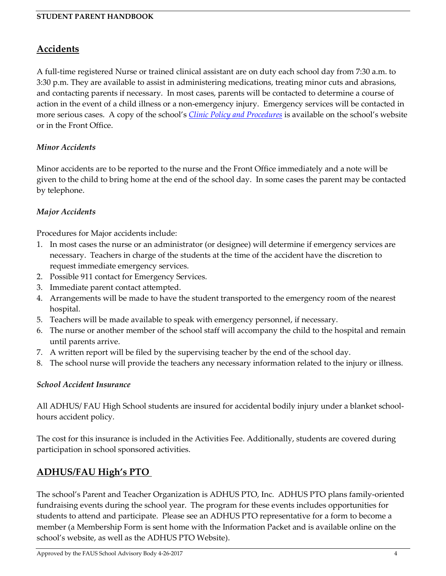# <span id="page-3-0"></span>**Accidents**

A full-time registered Nurse or trained clinical assistant are on duty each school day from 7:30 a.m. to 3:30 p.m. They are available to assist in administering medications, treating minor cuts and abrasions, and contacting parents if necessary. In most cases, parents will be contacted to determine a course of action in the event of a child illness or a non-emergency injury. Emergency services will be contacted in more serious cases. A copy of the school's *[Clinic Policy and Procedures](http://adhus.fau.edu/documents/Clinic%20Policy%20No%20Date.pdf)* is available on the school's website or in the Front Office.

### *Minor Accidents*

Minor accidents are to be reported to the nurse and the Front Office immediately and a note will be given to the child to bring home at the end of the school day. In some cases the parent may be contacted by telephone.

### *Major Accidents*

Procedures for Major accidents include:

- 1. In most cases the nurse or an administrator (or designee) will determine if emergency services are necessary. Teachers in charge of the students at the time of the accident have the discretion to request immediate emergency services.
- 2. Possible 911 contact for Emergency Services.
- 3. Immediate parent contact attempted.
- 4. Arrangements will be made to have the student transported to the emergency room of the nearest hospital.
- 5. Teachers will be made available to speak with emergency personnel, if necessary.
- 6. The nurse or another member of the school staff will accompany the child to the hospital and remain until parents arrive.
- 7. A written report will be filed by the supervising teacher by the end of the school day.
- 8. The school nurse will provide the teachers any necessary information related to the injury or illness.

### *School Accident Insurance*

All ADHUS/ FAU High School students are insured for accidental bodily injury under a blanket schoolhours accident policy.

The cost for this insurance is included in the Activities Fee. Additionally, students are covered during participation in school sponsored activities.

# <span id="page-3-1"></span>**ADHUS/FAU High's PTO**

The school's Parent and Teacher Organization is ADHUS PTO, Inc. ADHUS PTO plans family-oriented fundraising events during the school year. The program for these events includes opportunities for students to attend and participate. Please see an ADHUS PTO representative for a form to become a member (a Membership Form is sent home with the Information Packet and is available online on the school's website, as well as the ADHUS PTO Website).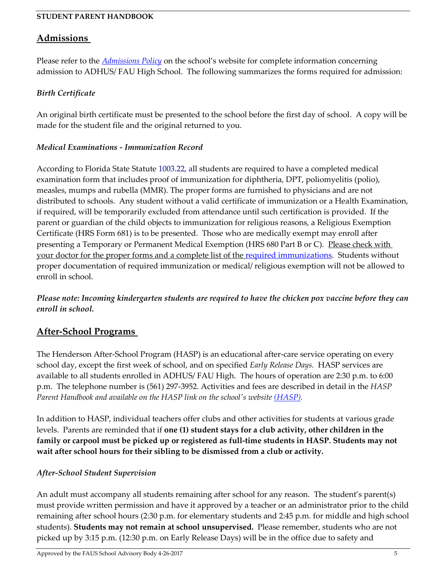### <span id="page-4-0"></span>**Admissions**

Please refer to the *[Admissions Policy](http://adhus.fau.edu/admissions/Admissions%20Policy%20ADHUS%20approved%204-8-15.pdf)* on the school's website for complete information concerning admission to ADHUS/ FAU High School. The following summarizes the forms required for admission:

### *Birth Certificate*

An original birth certificate must be presented to the school before the first day of school. A copy will be made for the student file and the original returned to you.

### *Medical Examinations - Immunization Record*

According to Florida State Statute 1003.22, all students are required to have a completed medical examination form that includes proof of immunization for diphtheria, DPT, poliomyelitis (polio), measles, mumps and rubella (MMR). The proper forms are furnished to physicians and are not distributed to schools. Any student without a valid certificate of immunization or a Health Examination, if required, will be temporarily excluded from attendance until such certification is provided. If the parent or guardian of the child objects to immunization for religious reasons, a Religious Exemption Certificate (HRS Form 681) is to be presented. Those who are medically exempt may enroll after presenting a Temporary or Permanent Medical Exemption (HRS 680 Part B or C). Please check with your doctor for the proper forms and a complete list of the [required immunizations.](http://www.floridahealth.gov/programs-and-services/immunization/children-and-adolescents/school-immunization-requirements/index.html) Students without proper documentation of required immunization or medical/ religious exemption will not be allowed to enroll in school.

*Please note: Incoming kindergarten students are required to have the chicken pox vaccine before they can enroll in school.* 

# <span id="page-4-1"></span>**After-School Programs**

The Henderson After-School Program (HASP) is an educational after-care service operating on every school day, except the first week of school, and on specified *Early Release Days.* HASP services are available to all students enrolled in ADHUS/ FAU High. The hours of operation are 2:30 p.m. to 6:00 p.m. The telephone number is (561) 297-3952. Activities and fees are described in detail in the *HASP Parent Handbook and available on the HASP link on the school's website [\(HASP\).](http://www.adhus.fau.edu/hasp/hasp.php)*

In addition to HASP, individual teachers offer clubs and other activities for students at various grade levels. Parents are reminded that if **one (1) student stays for a club activity, other children in the family or carpool must be picked up or registered as full-time students in HASP. Students may not wait after school hours for their sibling to be dismissed from a club or activity.**

### *After-School Student Supervision*

An adult must accompany all students remaining after school for any reason. The student's parent(s) must provide written permission and have it approved by a teacher or an administrator prior to the child remaining after school hours (2:30 p.m. for elementary students and 2:45 p.m. for middle and high school students). **Students may not remain at school unsupervised.** Please remember, students who are not picked up by 3:15 p.m. (12:30 p.m. on Early Release Days) will be in the office due to safety and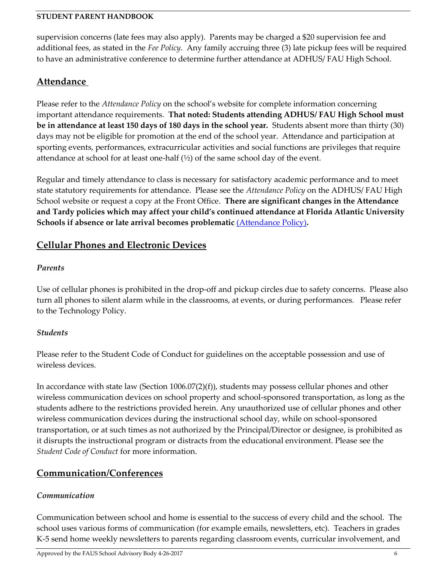supervision concerns (late fees may also apply). Parents may be charged a \$20 supervision fee and additional fees, as stated in the *Fee Policy*. Any family accruing three (3) late pickup fees will be required to have an administrative conference to determine further attendance at ADHUS/ FAU High School.

# <span id="page-5-0"></span>**Attendance**

Please refer to the *Attendance Policy* on the school's website for complete information concerning important attendance requirements. **That noted: Students attending ADHUS/ FAU High School must be in attendance at least 150 days of 180 days in the school year.** Students absent more than thirty (30) days may not be eligible for promotion at the end of the school year. Attendance and participation at sporting events, performances, extracurricular activities and social functions are privileges that require attendance at school for at least one-half  $(\frac{1}{2})$  of the same school day of the event.

Regular and timely attendance to class is necessary for satisfactory academic performance and to meet state statutory requirements for attendance. Please see the *Attendance Policy* on the ADHUS/ FAU High School website or request a copy at the Front Office. **There are significant changes in the Attendance and Tardy policies which may affect your child's continued attendance at Florida Atlantic University Schools if absence or late arrival becomes problematic** [\(Attendance Policy\)](http://www.fauhigh.fau.edu/documents/AttendancePolicy.pdf)**.** 

# <span id="page-5-1"></span>**Cellular Phones and Electronic Devices**

### *Parents*

Use of cellular phones is prohibited in the drop-off and pickup circles due to safety concerns. Please also turn all phones to silent alarm while in the classrooms, at events, or during performances. Please refer to the Technology Policy.

## *Students*

Please refer to the Student Code of Conduct for guidelines on the acceptable possession and use of wireless devices.

In accordance with state law (Section 1006.07(2)(f)), students may possess cellular phones and other wireless communication devices on school property and school-sponsored transportation, as long as the students adhere to the restrictions provided herein. Any unauthorized use of cellular phones and other wireless communication devices during the instructional school day, while on school-sponsored transportation, or at such times as not authorized by the Principal/Director or designee, is prohibited as it disrupts the instructional program or distracts from the educational environment. Please see the *Student Code of Conduct* for more information.

# <span id="page-5-2"></span>**Communication/Conferences**

## *Communication*

Communication between school and home is essential to the success of every child and the school. The school uses various forms of communication (for example emails, newsletters, etc). Teachers in grades K-5 send home weekly newsletters to parents regarding classroom events, curricular involvement, and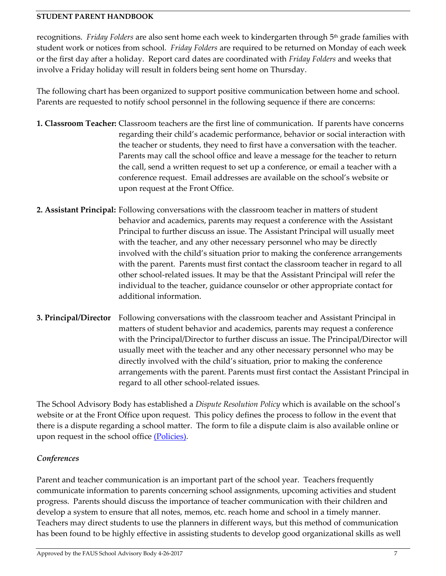recognitions. *Friday Folders* are also sent home each week to kindergarten through 5 th grade families with student work or notices from school. *Friday Folders* are required to be returned on Monday of each week or the first day after a holiday. Report card dates are coordinated with *Friday Folders* and weeks that involve a Friday holiday will result in folders being sent home on Thursday.

The following chart has been organized to support positive communication between home and school. Parents are requested to notify school personnel in the following sequence if there are concerns:

- **1. Classroom Teacher:** Classroom teachers are the first line of communication. If parents have concerns regarding their child's academic performance, behavior or social interaction with the teacher or students, they need to first have a conversation with the teacher. Parents may call the school office and leave a message for the teacher to return the call, send a written request to set up a conference, or email a teacher with a conference request. Email addresses are available on the school's website or upon request at the Front Office.
- **2. Assistant Principal:** Following conversations with the classroom teacher in matters of student behavior and academics, parents may request a conference with the Assistant Principal to further discuss an issue. The Assistant Principal will usually meet with the teacher, and any other necessary personnel who may be directly involved with the child's situation prior to making the conference arrangements with the parent. Parents must first contact the classroom teacher in regard to all other school-related issues. It may be that the Assistant Principal will refer the individual to the teacher, guidance counselor or other appropriate contact for additional information.
- **3. Principal/Director** Following conversations with the classroom teacher and Assistant Principal in matters of student behavior and academics, parents may request a conference with the Principal/Director to further discuss an issue. The Principal/Director will usually meet with the teacher and any other necessary personnel who may be directly involved with the child's situation, prior to making the conference arrangements with the parent. Parents must first contact the Assistant Principal in regard to all other school-related issues.

The School Advisory Body has established a *Dispute Resolution Policy* which is available on the school's website or at the Front Office upon request. This policy defines the process to follow in the event that there is a dispute regarding a school matter. The form to file a dispute claim is also available online or upon request in the school office [\(Policies\).](http://adhus.fau.edu/school/policies.php)

## *Conferences*

Parent and teacher communication is an important part of the school year. Teachers frequently communicate information to parents concerning school assignments, upcoming activities and student progress. Parents should discuss the importance of teacher communication with their children and develop a system to ensure that all notes, memos, etc. reach home and school in a timely manner. Teachers may direct students to use the planners in different ways, but this method of communication has been found to be highly effective in assisting students to develop good organizational skills as well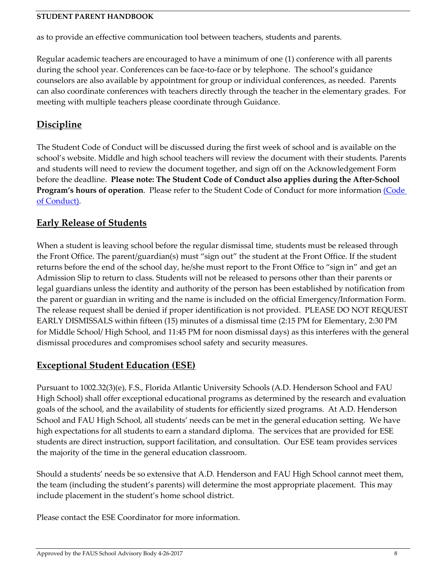as to provide an effective communication tool between teachers, students and parents.

Regular academic teachers are encouraged to have a minimum of one (1) conference with all parents during the school year. Conferences can be face-to-face or by telephone. The school's guidance counselors are also available by appointment for group or individual conferences, as needed. Parents can also coordinate conferences with teachers directly through the teacher in the elementary grades. For meeting with multiple teachers please coordinate through Guidance.

# **Discipline**

The Student Code of Conduct will be discussed during the first week of school and is available on the school's website. Middle and high school teachers will review the document with their students. Parents and students will need to review the document together, and sign off on the Acknowledgement Form before the deadline. **Please note: The Student Code of Conduct also applies during the After-School**  Program's hours of operation. Please refer to the Student Code of Conduct for more information (Code [of Conduct\).](http://adhus.fau.edu/school/policies.php)

# <span id="page-7-0"></span>**Early Release of Students**

When a student is leaving school before the regular dismissal time, students must be released through the Front Office. The parent/guardian(s) must "sign out" the student at the Front Office. If the student returns before the end of the school day, he/she must report to the Front Office to "sign in" and get an Admission Slip to return to class. Students will not be released to persons other than their parents or legal guardians unless the identity and authority of the person has been established by notification from the parent or guardian in writing and the name is included on the official Emergency/Information Form. The release request shall be denied if proper identification is not provided. PLEASE DO NOT REQUEST EARLY DISMISSALS within fifteen (15) minutes of a dismissal time (2:15 PM for Elementary, 2:30 PM for Middle School/ High School, and 11:45 PM for noon dismissal days) as this interferes with the general dismissal procedures and compromises school safety and security measures.

# <span id="page-7-1"></span>**Exceptional Student Education (ESE)**

Pursuant to 1002.32(3)(e), F.S., Florida Atlantic University Schools (A.D. Henderson School and FAU High School) shall offer exceptional educational programs as determined by the research and evaluation goals of the school, and the availability of students for efficiently sized programs. At A.D. Henderson School and FAU High School, all students' needs can be met in the general education setting. We have high expectations for all students to earn a standard diploma. The services that are provided for ESE students are direct instruction, support facilitation, and consultation. Our ESE team provides services the majority of the time in the general education classroom.

Should a students' needs be so extensive that A.D. Henderson and FAU High School cannot meet them, the team (including the student's parents) will determine the most appropriate placement. This may include placement in the student's home school district.

Please contact the ESE Coordinator for more information.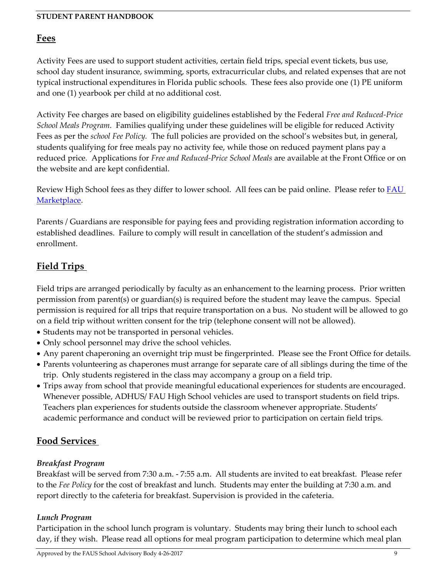### <span id="page-8-0"></span>**Fees**

Activity Fees are used to support student activities, certain field trips, special event tickets, bus use, school day student insurance, swimming, sports, extracurricular clubs, and related expenses that are not typical instructional expenditures in Florida public schools. These fees also provide one (1) PE uniform and one (1) yearbook per child at no additional cost.

Activity Fee charges are based on eligibility guidelines established by the Federal *Free and Reduced-Price School Meals Program.* Families qualifying under these guidelines will be eligible for reduced Activity Fees as per the *school Fee Policy.* The full policies are provided on the school's websites but, in general, students qualifying for free meals pay no activity fee, while those on reduced payment plans pay a reduced price*.* Applications for *Free and Reduced-Price School Meals* are available at the Front Office or on the website and are kept confidential.

Review High School fees as they differ to lower school. All fees can be paid online. Please refer to **FAU** [Marketplace.](https://epay.fau.edu/C20081_ustores/web/store_main.jsp?STOREID=8)

Parents / Guardians are responsible for paying fees and providing registration information according to established deadlines. Failure to comply will result in cancellation of the student's admission and enrollment.

# <span id="page-8-1"></span>**Field Trips**

Field trips are arranged periodically by faculty as an enhancement to the learning process. Prior written permission from parent(s) or guardian(s) is required before the student may leave the campus. Special permission is required for all trips that require transportation on a bus. No student will be allowed to go on a field trip without written consent for the trip (telephone consent will not be allowed).

- Students may not be transported in personal vehicles.
- Only school personnel may drive the school vehicles.
- Any parent chaperoning an overnight trip must be fingerprinted. Please see the Front Office for details.
- Parents volunteering as chaperones must arrange for separate care of all siblings during the time of the trip. Only students registered in the class may accompany a group on a field trip.
- Trips away from school that provide meaningful educational experiences for students are encouraged. Whenever possible, ADHUS/ FAU High School vehicles are used to transport students on field trips. Teachers plan experiences for students outside the classroom whenever appropriate. Students' academic performance and conduct will be reviewed prior to participation on certain field trips.

# <span id="page-8-2"></span>**Food Services**

## *Breakfast Program*

Breakfast will be served from 7:30 a.m. - 7:55 a.m. All students are invited to eat breakfast. Please refer to the *Fee Policy* for the cost of breakfast and lunch. Students may enter the building at 7:30 a.m. and report directly to the cafeteria for breakfast. Supervision is provided in the cafeteria.

## *Lunch Program*

Participation in the school lunch program is voluntary. Students may bring their lunch to school each day, if they wish. Please read all options for meal program participation to determine which meal plan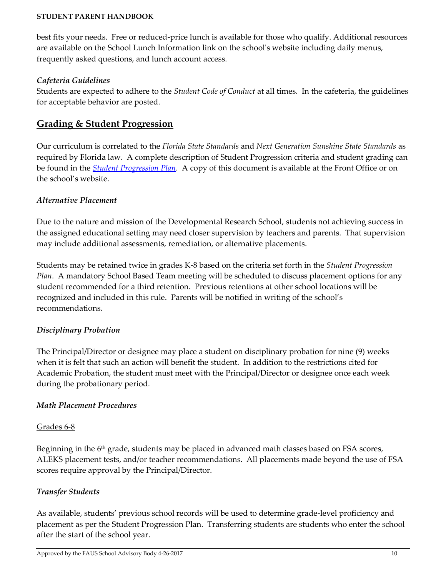best fits your needs. Free or reduced-price lunch is available for those who qualify. Additional resources are available on the School Lunch Information link on the school's website including daily menus, frequently asked questions, and lunch account access.

### *Cafeteria Guidelines*

Students are expected to adhere to the *Student Code of Conduct* at all times. In the cafeteria, the guidelines for acceptable behavior are posted.

## <span id="page-9-0"></span>**Grading & Student Progression**

Our curriculum is correlated to the *Florida State Standards* and *Next Generation Sunshine State Standards* as required by Florida law. A complete description of Student Progression criteria and student grading can be found in the *[Student Progression](http://adhus.fau.edu/documents/Pupil%20Progression%20Plan.pdf) Plan*. A copy of this document is available at the Front Office or on the school's website.

### *Alternative Placement*

Due to the nature and mission of the Developmental Research School, students not achieving success in the assigned educational setting may need closer supervision by teachers and parents. That supervision may include additional assessments, remediation, or alternative placements.

Students may be retained twice in grades K-8 based on the criteria set forth in the *Student Progression Plan*. A mandatory School Based Team meeting will be scheduled to discuss placement options for any student recommended for a third retention. Previous retentions at other school locations will be recognized and included in this rule. Parents will be notified in writing of the school's recommendations.

### *Disciplinary Probation*

The Principal/Director or designee may place a student on disciplinary probation for nine (9) weeks when it is felt that such an action will benefit the student. In addition to the restrictions cited for Academic Probation, the student must meet with the Principal/Director or designee once each week during the probationary period.

### *Math Placement Procedures*

### Grades 6-8

Beginning in the  $6<sup>th</sup>$  grade, students may be placed in advanced math classes based on FSA scores, ALEKS placement tests, and/or teacher recommendations. All placements made beyond the use of FSA scores require approval by the Principal/Director.

## *Transfer Students*

As available, students' previous school records will be used to determine grade-level proficiency and placement as per the Student Progression Plan. Transferring students are students who enter the school after the start of the school year.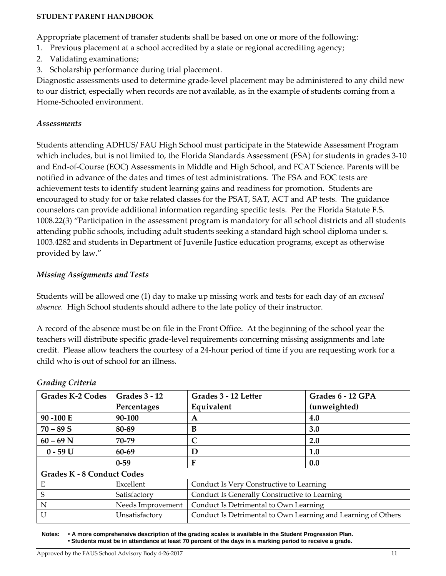Appropriate placement of transfer students shall be based on one or more of the following:

- 1. Previous placement at a school accredited by a state or regional accrediting agency;
- 2. Validating examinations;
- 3. Scholarship performance during trial placement.

Diagnostic assessments used to determine grade-level placement may be administered to any child new to our district, especially when records are not available, as in the example of students coming from a Home-Schooled environment.

#### *Assessments*

Students attending ADHUS/ FAU High School must participate in the Statewide Assessment Program which includes, but is not limited to, the Florida Standards Assessment (FSA) for students in grades 3-10 and End-of-Course (EOC) Assessments in Middle and High School, and FCAT Science. Parents will be notified in advance of the dates and times of test administrations. The FSA and EOC tests are achievement tests to identify student learning gains and readiness for promotion. Students are encouraged to study for or take related classes for the PSAT, SAT, ACT and AP tests. The guidance counselors can provide additional information regarding specific tests. Per the Florida Statute F.S. 1008.22(3) "Participation in the assessment program is mandatory for all school districts and all students attending public schools, including adult students seeking a standard high school diploma under s. 1003.4282 and students in Department of Juvenile Justice education programs, except as otherwise provided by law."

### *Missing Assignments and Tests*

Students will be allowed one (1) day to make up missing work and tests for each day of an *excused absence.* High School students should adhere to the late policy of their instructor.

A record of the absence must be on file in the Front Office. At the beginning of the school year the teachers will distribute specific grade-level requirements concerning missing assignments and late credit. Please allow teachers the courtesy of a 24-hour period of time if you are requesting work for a child who is out of school for an illness.

| <b>Grades K-2 Codes</b>           | <b>Grades 3 - 12</b> | Grades 3 - 12 Letter                                          | Grades 6 - 12 GPA |  |  |
|-----------------------------------|----------------------|---------------------------------------------------------------|-------------------|--|--|
|                                   | Percentages          | Equivalent                                                    | (unweighted)      |  |  |
| 90 - 100 E                        | 90-100               | A                                                             | 4.0               |  |  |
| $70 - 89S$                        | 80-89                | B                                                             | 3.0               |  |  |
| $60 - 69$ N                       | 70-79                |                                                               | 2.0               |  |  |
| $0 - 59 U$                        | 60-69                | D                                                             | 1.0               |  |  |
|                                   | $0 - 59$             | F                                                             | 0.0               |  |  |
| <b>Grades K - 8 Conduct Codes</b> |                      |                                                               |                   |  |  |
| Е                                 | Excellent            | Conduct Is Very Constructive to Learning                      |                   |  |  |
| S                                 | Satisfactory         | Conduct Is Generally Constructive to Learning                 |                   |  |  |
| N                                 | Needs Improvement    | Conduct Is Detrimental to Own Learning                        |                   |  |  |
| $\overline{U}$                    | Unsatisfactory       | Conduct Is Detrimental to Own Learning and Learning of Others |                   |  |  |

#### *Grading Criteria*

**Notes: A more comprehensive description of the grading scales is available in the Student Progression Plan. Students must be in attendance at least 70 percent of the days in a marking period to receive a grade.**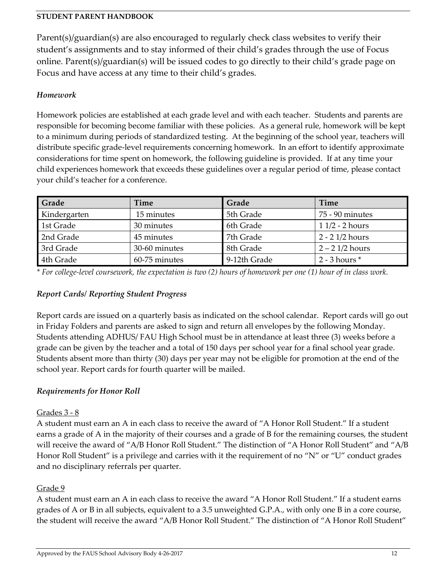Parent(s)/guardian(s) are also encouraged to regularly check class websites to verify their student's assignments and to stay informed of their child's grades through the use of Focus online. Parent(s)/guardian(s) will be issued codes to go directly to their child's grade page on Focus and have access at any time to their child's grades.

### *Homework*

Homework policies are established at each grade level and with each teacher. Students and parents are responsible for becoming become familiar with these policies. As a general rule, homework will be kept to a minimum during periods of standardized testing. At the beginning of the school year, teachers will distribute specific grade-level requirements concerning homework. In an effort to identify approximate considerations for time spent on homework, the following guideline is provided. If at any time your child experiences homework that exceeds these guidelines over a regular period of time, please contact your child's teacher for a conference.

| Grade        | <b>Time</b>   | Grade        | Time              |
|--------------|---------------|--------------|-------------------|
| Kindergarten | 15 minutes    | 5th Grade    | 75 - 90 minutes   |
| 1st Grade    | 30 minutes    | 6th Grade    | $11/2 - 2$ hours  |
| 2nd Grade    | 45 minutes    | 7th Grade    | 2 - 2 1/2 hours   |
| 3rd Grade    | 30-60 minutes | 8th Grade    | $2 - 21/2$ hours  |
| 4th Grade    | 60-75 minutes | 9-12th Grade | $2 - 3$ hours $*$ |

*\* For college-level coursework, the expectation is two (2) hours of homework per one (1) hour of in class work.* 

## *Report Cards/ Reporting Student Progress*

Report cards are issued on a quarterly basis as indicated on the school calendar. Report cards will go out in Friday Folders and parents are asked to sign and return all envelopes by the following Monday. Students attending ADHUS/ FAU High School must be in attendance at least three (3) weeks before a grade can be given by the teacher and a total of 150 days per school year for a final school year grade. Students absent more than thirty (30) days per year may not be eligible for promotion at the end of the school year. Report cards for fourth quarter will be mailed.

### *Requirements for Honor Roll*

### Grades 3 - 8

A student must earn an A in each class to receive the award of "A Honor Roll Student." If a student earns a grade of A in the majority of their courses and a grade of B for the remaining courses, the student will receive the award of "A/B Honor Roll Student." The distinction of "A Honor Roll Student" and "A/B Honor Roll Student" is a privilege and carries with it the requirement of no "N" or "U" conduct grades and no disciplinary referrals per quarter.

### Grade 9

A student must earn an A in each class to receive the award "A Honor Roll Student." If a student earns grades of A or B in all subjects, equivalent to a 3.5 unweighted G.P.A., with only one B in a core course, the student will receive the award "A/B Honor Roll Student." The distinction of "A Honor Roll Student"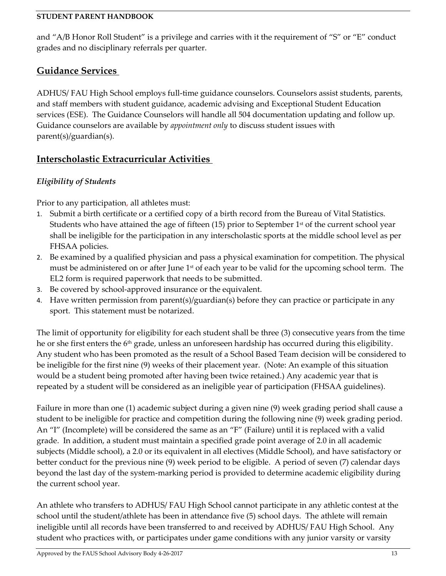and "A/B Honor Roll Student" is a privilege and carries with it the requirement of "S" or "E" conduct grades and no disciplinary referrals per quarter.

# <span id="page-12-0"></span>**Guidance Services**

ADHUS/ FAU High School employs full-time guidance counselors. Counselors assist students, parents, and staff members with student guidance, academic advising and Exceptional Student Education services (ESE). The Guidance Counselors will handle all 504 documentation updating and follow up. Guidance counselors are available by *appointment only* to discuss student issues with parent(s)/guardian(s).

# <span id="page-12-1"></span>**Interscholastic Extracurricular Activities**

## *Eligibility of Students*

Prior to any participation, all athletes must:

- 1. Submit a birth certificate or a certified copy of a birth record from the Bureau of Vital Statistics. Students who have attained the age of fifteen  $(15)$  prior to September 1st of the current school year shall be ineligible for the participation in any interscholastic sports at the middle school level as per FHSAA policies.
- 2. Be examined by a qualified physician and pass a physical examination for competition. The physical must be administered on or after June 1<sup>st</sup> of each year to be valid for the upcoming school term. The EL2 form is required paperwork that needs to be submitted.
- 3. Be covered by school-approved insurance or the equivalent.
- 4. Have written permission from parent(s)/guardian(s) before they can practice or participate in any sport. This statement must be notarized.

The limit of opportunity for eligibility for each student shall be three (3) consecutive years from the time he or she first enters the 6th grade, unless an unforeseen hardship has occurred during this eligibility. Any student who has been promoted as the result of a School Based Team decision will be considered to be ineligible for the first nine (9) weeks of their placement year. (Note: An example of this situation would be a student being promoted after having been twice retained.) Any academic year that is repeated by a student will be considered as an ineligible year of participation (FHSAA guidelines).

Failure in more than one (1) academic subject during a given nine (9) week grading period shall cause a student to be ineligible for practice and competition during the following nine (9) week grading period. An "I" (Incomplete) will be considered the same as an "F" (Failure) until it is replaced with a valid grade. In addition, a student must maintain a specified grade point average of 2.0 in all academic subjects (Middle school), a 2.0 or its equivalent in all electives (Middle School), and have satisfactory or better conduct for the previous nine (9) week period to be eligible. A period of seven (7) calendar days beyond the last day of the system-marking period is provided to determine academic eligibility during the current school year.

An athlete who transfers to ADHUS/ FAU High School cannot participate in any athletic contest at the school until the student/athlete has been in attendance five (5) school days. The athlete will remain ineligible until all records have been transferred to and received by ADHUS/ FAU High School. Any student who practices with, or participates under game conditions with any junior varsity or varsity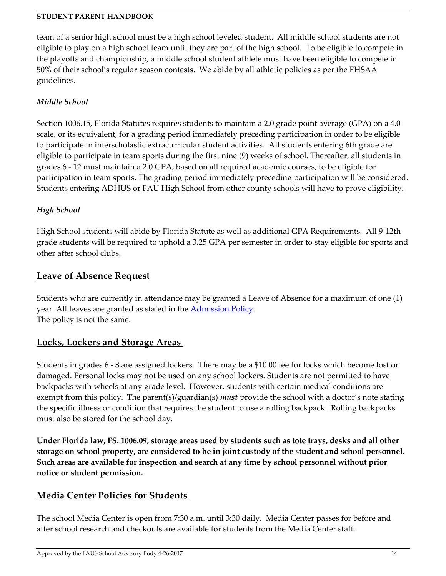team of a senior high school must be a high school leveled student. All middle school students are not eligible to play on a high school team until they are part of the high school. To be eligible to compete in the playoffs and championship, a middle school student athlete must have been eligible to compete in 50% of their school's regular season contests. We abide by all athletic policies as per the FHSAA guidelines.

## *Middle School*

Section 1006.15, Florida Statutes requires students to maintain a 2.0 grade point average (GPA) on a 4.0 scale, or its equivalent, for a grading period immediately preceding participation in order to be eligible to participate in interscholastic extracurricular student activities. All students entering 6th grade are eligible to participate in team sports during the first nine (9) weeks of school. Thereafter, all students in grades 6 - 12 must maintain a 2.0 GPA, based on all required academic courses, to be eligible for participation in team sports. The grading period immediately preceding participation will be considered. Students entering ADHUS or FAU High School from other county schools will have to prove eligibility.

## *High School*

High School students will abide by Florida Statute as well as additional GPA Requirements. All 9-12th grade students will be required to uphold a 3.25 GPA per semester in order to stay eligible for sports and other after school clubs.

# <span id="page-13-0"></span>**Leave of Absence Request**

Students who are currently in attendance may be granted a Leave of Absence for a maximum of one (1) year. All leaves are granted as stated in the [Admission Policy.](http://adhus.fau.edu/documents/ADMISSIONS%20POLICY%20UPDATED%2003-31-17.pdf) The policy is not the same.

# <span id="page-13-1"></span>**Locks, Lockers and Storage Areas**

Students in grades 6 - 8 are assigned lockers. There may be a \$10.00 fee for locks which become lost or damaged. Personal locks may not be used on any school lockers. Students are not permitted to have backpacks with wheels at any grade level. However, students with certain medical conditions are exempt from this policy. The parent(s)/guardian(s) *must* provide the school with a doctor's note stating the specific illness or condition that requires the student to use a rolling backpack. Rolling backpacks must also be stored for the school day.

**Under Florida law, FS. 1006.09, storage areas used by students such as tote trays, desks and all other storage on school property, are considered to be in joint custody of the student and school personnel. Such areas are available for inspection and search at any time by school personnel without prior notice or student permission.** 

# <span id="page-13-2"></span>**Media Center Policies for Students**

The school Media Center is open from 7:30 a.m. until 3:30 daily. Media Center passes for before and after school research and checkouts are available for students from the Media Center staff.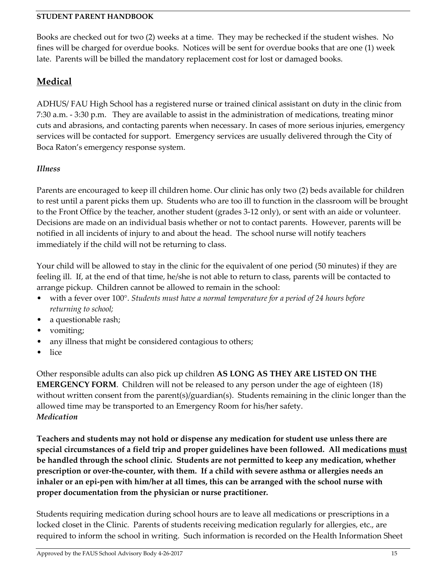Books are checked out for two (2) weeks at a time. They may be rechecked if the student wishes. No fines will be charged for overdue books. Notices will be sent for overdue books that are one (1) week late. Parents will be billed the mandatory replacement cost for lost or damaged books.

# <span id="page-14-0"></span>**Medical**

ADHUS/ FAU High School has a registered nurse or trained clinical assistant on duty in the clinic from 7:30 a.m. - 3:30 p.m. They are available to assist in the administration of medications, treating minor cuts and abrasions, and contacting parents when necessary. In cases of more serious injuries, emergency services will be contacted for support. Emergency services are usually delivered through the City of Boca Raton's emergency response system.

## *Illness*

Parents are encouraged to keep ill children home. Our clinic has only two (2) beds available for children to rest until a parent picks them up. Students who are too ill to function in the classroom will be brought to the Front Office by the teacher, another student (grades 3-12 only), or sent with an aide or volunteer. Decisions are made on an individual basis whether or not to contact parents. However, parents will be notified in all incidents of injury to and about the head. The school nurse will notify teachers immediately if the child will not be returning to class.

Your child will be allowed to stay in the clinic for the equivalent of one period (50 minutes) if they are feeling ill. If, at the end of that time, he/she is not able to return to class, parents will be contacted to arrange pickup. Children cannot be allowed to remain in the school:

- with a fever over 100°. *Students must have a normal temperature for a period of 24 hours before returning to school;*
- a questionable rash;
- vomiting;
- any illness that might be considered contagious to others;
- lice

Other responsible adults can also pick up children **AS LONG AS THEY ARE LISTED ON THE EMERGENCY FORM.** Children will not be released to any person under the age of eighteen (18) without written consent from the parent(s)/guardian(s). Students remaining in the clinic longer than the allowed time may be transported to an Emergency Room for his/her safety. *Medication*

**Teachers and students may not hold or dispense any medication for student use unless there are special circumstances of a field trip and proper guidelines have been followed. All medications must be handled through the school clinic. Students are not permitted to keep any medication, whether prescription or over-the-counter, with them. If a child with severe asthma or allergies needs an inhaler or an epi-pen with him/her at all times, this can be arranged with the school nurse with proper documentation from the physician or nurse practitioner.** 

Students requiring medication during school hours are to leave all medications or prescriptions in a locked closet in the Clinic. Parents of students receiving medication regularly for allergies, etc., are required to inform the school in writing. Such information is recorded on the Health Information Sheet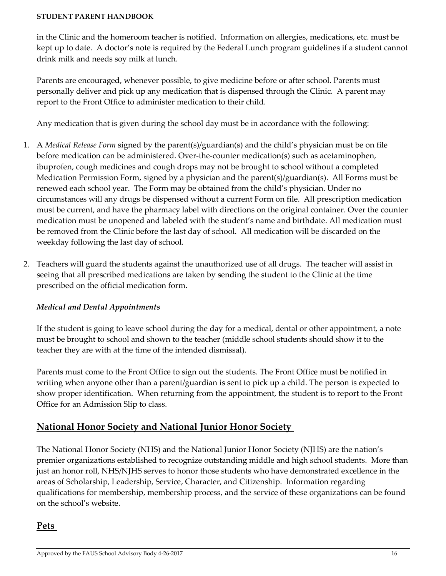in the Clinic and the homeroom teacher is notified. Information on allergies, medications, etc. must be kept up to date. A doctor's note is required by the Federal Lunch program guidelines if a student cannot drink milk and needs soy milk at lunch.

Parents are encouraged, whenever possible, to give medicine before or after school. Parents must personally deliver and pick up any medication that is dispensed through the Clinic. A parent may report to the Front Office to administer medication to their child.

Any medication that is given during the school day must be in accordance with the following:

- 1. A *Medical Release Form* signed by the parent(s)/guardian(s) and the child's physician must be on file before medication can be administered. Over-the-counter medication(s) such as acetaminophen, ibuprofen, cough medicines and cough drops may not be brought to school without a completed Medication Permission Form, signed by a physician and the parent(s)/guardian(s). All Forms must be renewed each school year. The Form may be obtained from the child's physician. Under no circumstances will any drugs be dispensed without a current Form on file. All prescription medication must be current, and have the pharmacy label with directions on the original container. Over the counter medication must be unopened and labeled with the student's name and birthdate. All medication must be removed from the Clinic before the last day of school. All medication will be discarded on the weekday following the last day of school.
- 2. Teachers will guard the students against the unauthorized use of all drugs. The teacher will assist in seeing that all prescribed medications are taken by sending the student to the Clinic at the time prescribed on the official medication form.

## *Medical and Dental Appointments*

If the student is going to leave school during the day for a medical, dental or other appointment, a note must be brought to school and shown to the teacher (middle school students should show it to the teacher they are with at the time of the intended dismissal).

Parents must come to the Front Office to sign out the students. The Front Office must be notified in writing when anyone other than a parent/guardian is sent to pick up a child. The person is expected to show proper identification. When returning from the appointment, the student is to report to the Front Office for an Admission Slip to class.

# <span id="page-15-0"></span>**National Honor Society and National Junior Honor Society**

The National Honor Society (NHS) and the National Junior Honor Society (NJHS) are the nation's premier organizations established to recognize outstanding middle and high school students. More than just an honor roll, NHS/NJHS serves to honor those students who have demonstrated excellence in the areas of Scholarship, Leadership, Service, Character, and Citizenship. Information regarding qualifications for membership, membership process, and the service of these organizations can be found on the school's website.

# <span id="page-15-1"></span>**Pets**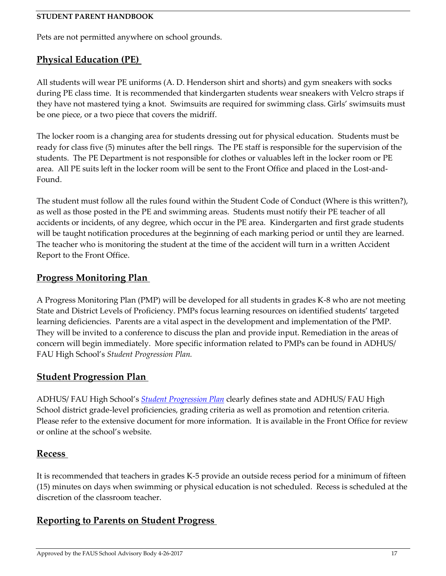Pets are not permitted anywhere on school grounds.

# <span id="page-16-0"></span>**Physical Education (PE)**

All students will wear PE uniforms (A. D. Henderson shirt and shorts) and gym sneakers with socks during PE class time. It is recommended that kindergarten students wear sneakers with Velcro straps if they have not mastered tying a knot. Swimsuits are required for swimming class. Girls' swimsuits must be one piece, or a two piece that covers the midriff.

The locker room is a changing area for students dressing out for physical education. Students must be ready for class five (5) minutes after the bell rings. The PE staff is responsible for the supervision of the students. The PE Department is not responsible for clothes or valuables left in the locker room or PE area. All PE suits left in the locker room will be sent to the Front Office and placed in the Lost-and-Found.

The student must follow all the rules found within the Student Code of Conduct (Where is this written?), as well as those posted in the PE and swimming areas. Students must notify their PE teacher of all accidents or incidents, of any degree, which occur in the PE area. Kindergarten and first grade students will be taught notification procedures at the beginning of each marking period or until they are learned. The teacher who is monitoring the student at the time of the accident will turn in a written Accident Report to the Front Office.

# <span id="page-16-1"></span>**Progress Monitoring Plan**

A Progress Monitoring Plan (PMP) will be developed for all students in grades K-8 who are not meeting State and District Levels of Proficiency. PMPs focus learning resources on identified students' targeted learning deficiencies. Parents are a vital aspect in the development and implementation of the PMP. They will be invited to a conference to discuss the plan and provide input. Remediation in the areas of concern will begin immediately. More specific information related to PMPs can be found in ADHUS/ FAU High School's *Student Progression Plan.* 

## <span id="page-16-2"></span>**Student Progression Plan**

ADHUS/ FAU High School's *Student [Progression Plan](http://adhus.fau.edu/documents/Pupil%20Progression%20Plan.pdf)* clearly defines state and ADHUS/ FAU High School district grade-level proficiencies, grading criteria as well as promotion and retention criteria. Please refer to the extensive document for more information. It is available in the Front Office for review or online at the school's website.

## <span id="page-16-3"></span>**Recess**

It is recommended that teachers in grades K-5 provide an outside recess period for a minimum of fifteen (15) minutes on days when swimming or physical education is not scheduled. Recess is scheduled at the discretion of the classroom teacher.

# <span id="page-16-4"></span>**Reporting to Parents on Student Progress**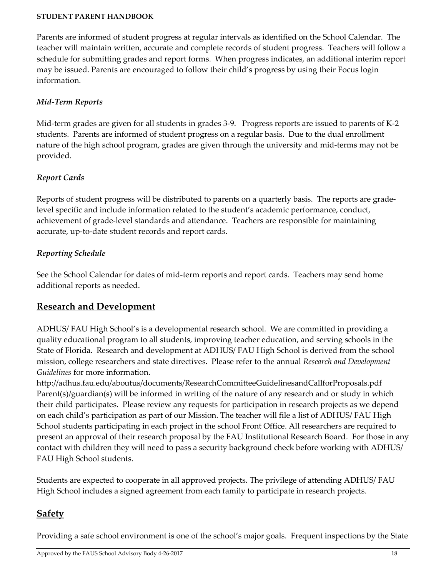Parents are informed of student progress at regular intervals as identified on the School Calendar. The teacher will maintain written, accurate and complete records of student progress. Teachers will follow a schedule for submitting grades and report forms. When progress indicates, an additional interim report may be issued. Parents are encouraged to follow their child's progress by using their Focus login information.

## *Mid-Term Reports*

Mid-term grades are given for all students in grades 3-9. Progress reports are issued to parents of K-2 students. Parents are informed of student progress on a regular basis. Due to the dual enrollment nature of the high school program, grades are given through the university and mid-terms may not be provided.

## *Report Cards*

Reports of student progress will be distributed to parents on a quarterly basis. The reports are gradelevel specific and include information related to the student's academic performance, conduct, achievement of grade-level standards and attendance. Teachers are responsible for maintaining accurate, up-to-date student records and report cards.

## *Reporting Schedule*

See the School Calendar for dates of mid-term reports and report cards. Teachers may send home additional reports as needed.

# <span id="page-17-0"></span>**Research and Development**

ADHUS/ FAU High School's is a developmental research school. We are committed in providing a quality educational program to all students, improving teacher education, and serving schools in the State of Florida. Research and development at ADHUS/ FAU High School is derived from the school mission, college researchers and state directives. Please refer to the annual *Research and Development Guidelines* for more information.

http://adhus.fau.edu/aboutus/documents/ResearchCommitteeGuidelinesandCallforProposals.pdf Parent(s)/guardian(s) will be informed in writing of the nature of any research and or study in which their child participates. Please review any requests for participation in research projects as we depend on each child's participation as part of our Mission. The teacher will file a list of ADHUS/ FAU High School students participating in each project in the school Front Office. All researchers are required to present an approval of their research proposal by the FAU Institutional Research Board. For those in any contact with children they will need to pass a security background check before working with ADHUS/ FAU High School students.

Students are expected to cooperate in all approved projects. The privilege of attending ADHUS/ FAU High School includes a signed agreement from each family to participate in research projects.

# <span id="page-17-1"></span>**Safety**

Providing a safe school environment is one of the school's major goals. Frequent inspections by the State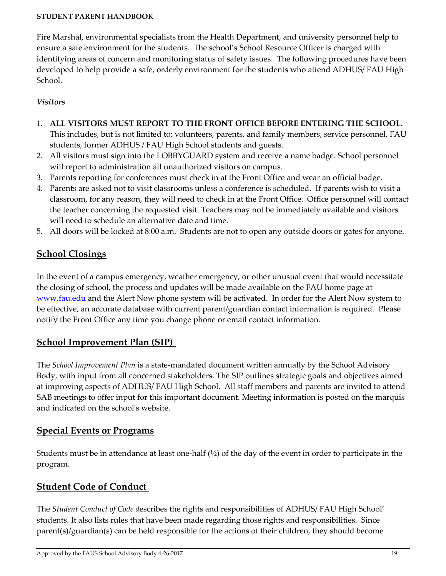Fire Marshal, environmental specialists from the Health Department, and university personnel help to ensure a safe environment for the students. The school's School Resource Officer is charged with identifying areas of concern and monitoring status of safety issues. The following procedures have been developed to help provide a safe, orderly environment for the students who attend ADHUS/ FAU High School.

### *Visitors*

1. **ALL VISITORS MUST REPORT TO THE FRONT OFFICE BEFORE ENTERING THE SCHOOL.**

This includes, but is not limited to: volunteers, parents, and family members, service personnel, FAU students, former ADHUS / FAU High School students and guests.

- 2. All visitors must sign into the LOBBYGUARD system and receive a name badge. School personnel will report to administration all unauthorized visitors on campus.
- 3. Parents reporting for conferences must check in at the Front Office and wear an official badge.
- 4. Parents are asked not to visit classrooms unless a conference is scheduled. If parents wish to visit a classroom, for any reason, they will need to check in at the Front Office. Office personnel will contact the teacher concerning the requested visit. Teachers may not be immediately available and visitors will need to schedule an alternative date and time.
- 5. All doors will be locked at 8:00 a.m. Students are not to open any outside doors or gates for anyone.

# <span id="page-18-0"></span>**School Closings**

In the event of a campus emergency, weather emergency, or other unusual event that would necessitate the closing of school, the process and updates will be made available on the FAU home page at [www.fau.edu](http://www.fau.edu/) and the Alert Now phone system will be activated. In order for the Alert Now system to be effective, an accurate database with current parent/guardian contact information is required. Please notify the Front Office any time you change phone or email contact information.

# <span id="page-18-1"></span>**School Improvement Plan (SIP)**

The *School Improvement Plan* is a state-mandated document written annually by the School Advisory Body, with input from all concerned stakeholders. The SIP outlines strategic goals and objectives aimed at improving aspects of ADHUS/ FAU High School. All staff members and parents are invited to attend SAB meetings to offer input for this important document. Meeting information is posted on the marquis and indicated on the school's website.

# <span id="page-18-2"></span>**Special Events or Programs**

Students must be in attendance at least one-half  $(\frac{1}{2})$  of the day of the event in order to participate in the program.

# <span id="page-18-3"></span>**Student Code of Conduct**

The *Student Conduct of Code d*escribes the rights and responsibilities of ADHUS/ FAU High School' students. It also lists rules that have been made regarding those rights and responsibilities. Since parent(s)/guardian(s) can be held responsible for the actions of their children, they should become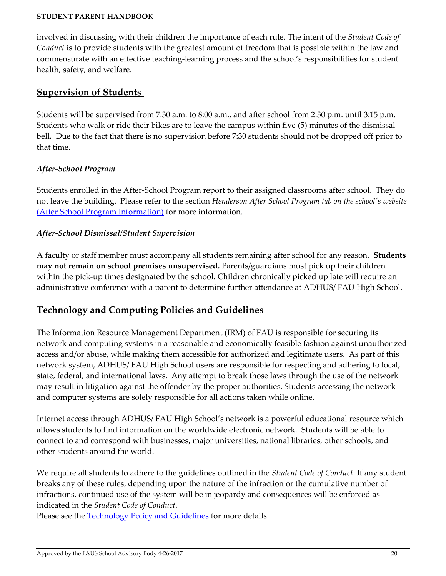involved in discussing with their children the importance of each rule. The intent of the *Student Code of Conduct* is to provide students with the greatest amount of freedom that is possible within the law and commensurate with an effective teaching-learning process and the school's responsibilities for student health, safety, and welfare.

## <span id="page-19-0"></span>**Supervision of Students**

Students will be supervised from 7:30 a.m. to 8:00 a.m., and after school from 2:30 p.m. until 3:15 p.m. Students who walk or ride their bikes are to leave the campus within five (5) minutes of the dismissal bell. Due to the fact that there is no supervision before 7:30 students should not be dropped off prior to that time.

### *After-School Program*

Students enrolled in the After-School Program report to their assigned classrooms after school. They do not leave the building. Please refer to the section *Henderson After School Program tab on the school's website* [\(After School Program Information\)](http://www.adhus.fau.edu/hasp/hasp.php) for more information.

### *After-School Dismissal/Student Supervision*

A faculty or staff member must accompany all students remaining after school for any reason. **Students may not remain on school premises unsupervised.** Parents/guardians must pick up their children within the pick-up times designated by the school. Children chronically picked up late will require an administrative conference with a parent to determine further attendance at ADHUS/ FAU High School.

# <span id="page-19-1"></span>**Technology and Computing Policies and Guidelines**

The Information Resource Management Department (IRM) of FAU is responsible for securing its network and computing systems in a reasonable and economically feasible fashion against unauthorized access and/or abuse, while making them accessible for authorized and legitimate users. As part of this network system, ADHUS/ FAU High School users are responsible for respecting and adhering to local, state, federal, and international laws. Any attempt to break those laws through the use of the network may result in litigation against the offender by the proper authorities. Students accessing the network and computer systems are solely responsible for all actions taken while online.

Internet access through ADHUS/ FAU High School's network is a powerful educational resource which allows students to find information on the worldwide electronic network. Students will be able to connect to and correspond with businesses, major universities, national libraries, other schools, and other students around the world.

We require all students to adhere to the guidelines outlined in the *Student Code of Conduct*. If any student breaks any of these rules, depending upon the nature of the infraction or the cumulative number of infractions, continued use of the system will be in jeopardy and consequences will be enforced as indicated in the *Student Code of Conduct*.

Please see the **Technology Policy and Guidelines** for more details.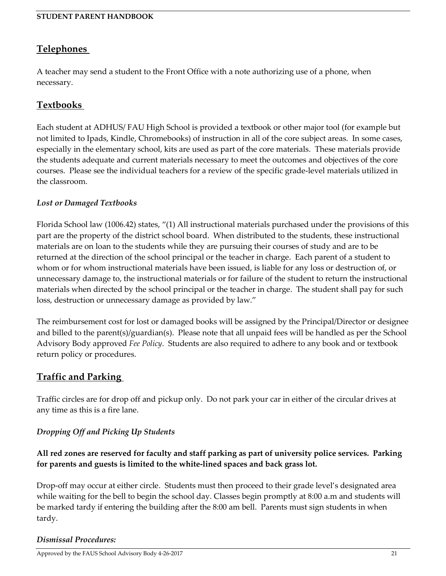# <span id="page-20-0"></span>**Telephones**

A teacher may send a student to the Front Office with a note authorizing use of a phone, when necessary.

## <span id="page-20-1"></span>**Textbooks**

Each student at ADHUS/ FAU High School is provided a textbook or other major tool (for example but not limited to Ipads, Kindle, Chromebooks) of instruction in all of the core subject areas. In some cases, especially in the elementary school, kits are used as part of the core materials. These materials provide the students adequate and current materials necessary to meet the outcomes and objectives of the core courses. Please see the individual teachers for a review of the specific grade-level materials utilized in the classroom.

### *Lost or Damaged Textbooks*

Florida School law (1006.42) states, "(1) All instructional materials purchased under the provisions of this part are the property of the district school board. When distributed to the students, these instructional materials are on loan to the students while they are pursuing their courses of study and are to be returned at the direction of the school principal or the teacher in charge. Each parent of a student to whom or for whom instructional materials have been issued, is liable for any loss or destruction of, or unnecessary damage to, the instructional materials or for failure of the student to return the instructional materials when directed by the school principal or the teacher in charge. The student shall pay for such loss, destruction or unnecessary damage as provided by law."

The reimbursement cost for lost or damaged books will be assigned by the Principal/Director or designee and billed to the parent(s)/guardian(s). Please note that all unpaid fees will be handled as per the School Advisory Body approved *Fee Policy*. Students are also required to adhere to any book and or textbook return policy or procedures.

## <span id="page-20-2"></span>**Traffic and Parking**

Traffic circles are for drop off and pickup only. Do not park your car in either of the circular drives at any time as this is a fire lane.

### *Dropping Off and Picking Up Students*

### **All red zones are reserved for faculty and staff parking as part of university police services. Parking for parents and guests is limited to the white-lined spaces and back grass lot.**

Drop-off may occur at either circle. Students must then proceed to their grade level's designated area while waiting for the bell to begin the school day. Classes begin promptly at 8:00 a.m and students will be marked tardy if entering the building after the 8:00 am bell. Parents must sign students in when tardy.

#### *Dismissal Procedures:*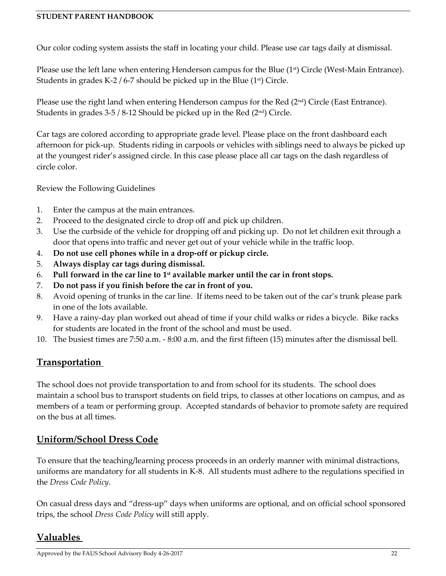Our color coding system assists the staff in locating your child. Please use car tags daily at dismissal.

Please use the left lane when entering Henderson campus for the Blue (1<sup>st</sup>) Circle (West-Main Entrance). Students in grades K-2 / 6-7 should be picked up in the Blue  $(1<sup>st</sup>)$  Circle.

Please use the right land when entering Henderson campus for the Red  $(2<sup>nd</sup>)$  Circle (East Entrance). Students in grades  $3-5/8-12$  Should be picked up in the Red ( $2<sup>nd</sup>$ ) Circle.

Car tags are colored according to appropriate grade level. Please place on the front dashboard each afternoon for pick-up. Students riding in carpools or vehicles with siblings need to always be picked up at the youngest rider's assigned circle. In this case please place all car tags on the dash regardless of circle color.

Review the Following Guidelines

- 1. Enter the campus at the main entrances.
- 2. Proceed to the designated circle to drop off and pick up children.
- 3. Use the curbside of the vehicle for dropping off and picking up. Do not let children exit through a door that opens into traffic and never get out of your vehicle while in the traffic loop.
- 4. **Do not use cell phones while in a drop-off or pickup circle.**
- 5. **Always display car tags during dismissal.**
- 6. **Pull forward in the car line to 1st available marker until the car in front stops.**
- 7. **Do not pass if you finish before the car in front of you.**
- 8. Avoid opening of trunks in the car line. If items need to be taken out of the car's trunk please park in one of the lots available.
- 9. Have a rainy-day plan worked out ahead of time if your child walks or rides a bicycle. Bike racks for students are located in the front of the school and must be used.
- 10. The busiest times are 7:50 a.m. 8:00 a.m. and the first fifteen (15) minutes after the dismissal bell.

# <span id="page-21-0"></span>**Transportation**

The school does not provide transportation to and from school for its students. The school does maintain a school bus to transport students on field trips, to classes at other locations on campus, and as members of a team or performing group. Accepted standards of behavior to promote safety are required on the bus at all times.

# <span id="page-21-1"></span>**Uniform/School Dress Code**

To ensure that the teaching/learning process proceeds in an orderly manner with minimal distractions, uniforms are mandatory for all students in K-8. All students must adhere to the regulations specified in the *Dress Code Policy*.

On casual dress days and "dress-up" days when uniforms are optional, and on official school sponsored trips, the school *Dress Code Policy* will still apply.

# <span id="page-21-2"></span>**Valuables**